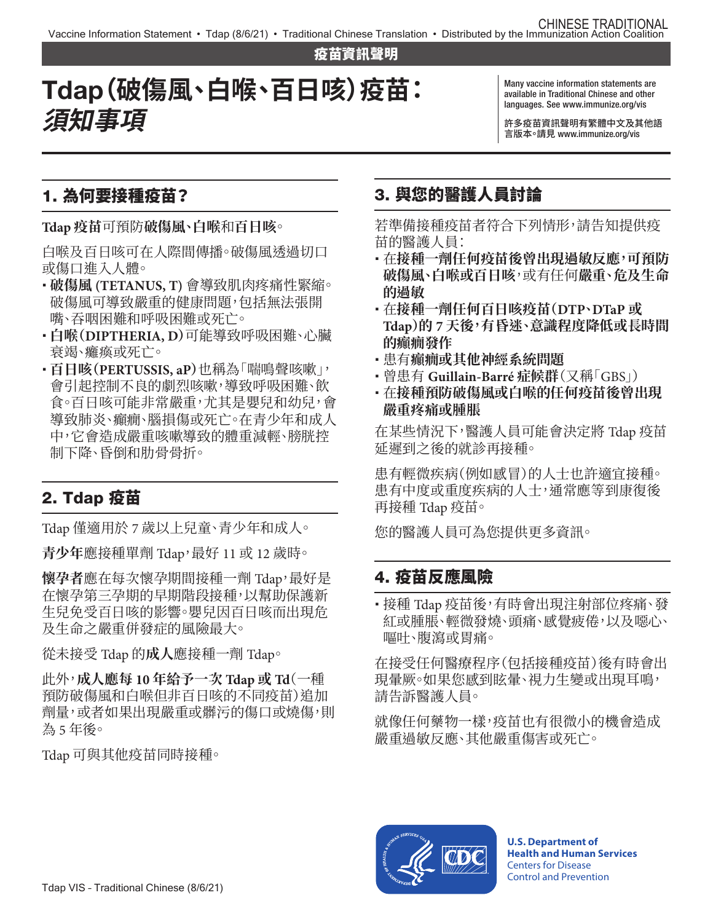疫苗資訊聲明

# Tdap**(破傷風、白喉、百日咳)疫苗: 須知事項**

Many vaccine information statements are available in Traditional Chinese and other languages. See [www.immunize.org/vis](http://www.immunize.org/vis)

許多疫苗資訊聲明有繁體中文及其他語 言版本。請見 [www.immunize.org/vis](http://www.immunize.org/vis) 

#### 1. 為何要接種疫苗?

**Tdap 疫苗**可預防**破傷風、白喉**和**百日咳**。

白喉及百日咳可在人際間傳播。破傷風透過切口 或傷口進入人體。

- � **破傷風 (TETANUS, T)** 會導致肌肉疼痛性緊縮。 破傷風可導致嚴重的健康問題,包括無法張開 嘴、吞咽困難和呼吸困難或死亡。
- � **白喉(DIPTHERIA, D)**可能導致呼吸困難、心臟 衰竭、癱瘓或死亡。
- � **百日咳(PERTUSSIS, aP)**也稱為「喘鳴聲咳嗽」, 會引起控制不良的劇烈咳嗽,導致呼吸困難、飲 食。百日咳可能非常嚴重,尤其是嬰兒和幼兒,會 導致肺炎、癲癇、腦損傷或死亡。在青少年和成人 中,它會造成嚴重咳嗽導致的體重減輕、膀胱控 制下降、昏倒和肋骨骨折。

# 2. Tdap 疫苗

Tdap 僅適用於 7 歲以上兒童、青少年和成人。

青少年應接種單劑 Tdap,最好 11 或 12 歲時。

**懷孕者**應在每次懷孕期間接種一劑 Tdap,最好是 在懷孕第三孕期的早期階段接種,以幫助保護新 生兒免受百日咳的影響。嬰兒因百日咳而出現危 及生命之嚴重併發症的風險最大。

從未接受 Tdap 的**成人**應接種一劑 Tdap。

此外,**成人應每 10 年給予一次 Tdap 或 Td**(一種 預防破傷風和白喉但非百日咳的不同疫苗)追加 劑量,或者如果出現嚴重或髒污的傷口或燒傷,則 為 5 年後。

Tdap 可與其他疫苗同時接種。

## 3. 與您的醫護人員討論

若準備接種疫苗者符合下列情形,請告知提供疫 苗的醫護人員:

- � 在**接種一劑任何疫苗後曾出現過敏反應,可預防 破傷風、白喉或百日咳**,或有任何**嚴重、危及生命 的過敏**
- � 在**接種一劑任何百日咳疫苗(DTP、DTaP 或 Tdap)的 7 天後,有昏迷、意識程度降低或長時間 的癲癇發作**
- � 患有**癲癇或其他神經系統問題**
- � 曾患有 **Guillain-Barré 症候群**(又稱「GBS」)
- � 在**接種預防破傷風或白喉的任何疫苗後曾出現 嚴重疼痛或腫脹**

在某些情況下,醫護人員可能會決定將 Tdap 疫苗 延遲到之後的就診再接種。

患有輕微疾病(例如感冒)的人士也許適宜接種。 患有中度或重度疾病的人士,通常應等到康復後 再接種 Tdap 疫苗。

您的醫護人員可為您提供更多資訊。

#### 4. 疫苗反應風險

·接種 Tdap 疫苗後,有時會出現注射部位疼痛、發 紅或腫脹、輕微發燒、頭痛、感覺疲倦,以及噁心、 嘔吐、腹瀉或胃痛。

在接受任何醫療程序(包括接種疫苗)後有時會出 現暈厥。如果您感到眩暈、視力生變或出現耳鳴, 請告訴醫護人員。

就像任何藥物一樣,疫苗也有很微小的機會造成 嚴重過敏反應、其他嚴重傷害或死亡。



**U.S. Department of Health and Human Services**  Centers for Disease Control and Prevention